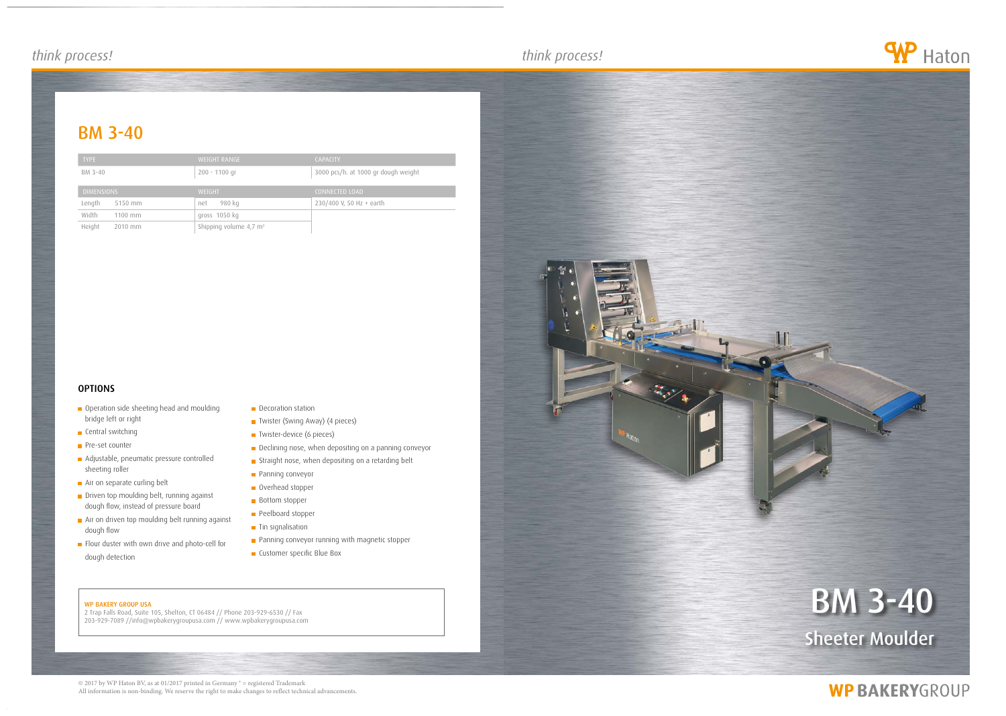## *think process! think process! think process!*

## **BM 3-40**

#### WP BAKERY GROUP USA

2 Trap Falls Road, Suite 105, Shelton, CT 06484 // Phone 203-929-6530 // Fax 203-929-7089 //info@wpbakerygroupusa.com // www.wpbakerygroupusa.com



**WP BAKERYGROUP** 

© 2017 by WP Haton BV, as at 01/2017 printed in Germany ® = registered Trademark All information is non-binding. We reserve the right to make changes to reflect technical advancements.



- **Operation side sheeting head and moulding** bridge left or right
- **Central switching**
- **Pre-set counter**
- **Adjustable, pneumatic pressure controlled** sheeting roller
- Air on separate curling belt
- Driven top moulding belt, running against dough flow, instead of pressure board
- **n** Air on driven top moulding belt running against dough flow
- Flour duster with own drive and photo-cell for dough detection
- Decoration station
- Twister (Swing Away) (4 pieces)
- **T** Twister-device (6 pieces)
- Declining nose, when depositing on a panning conveyor
- **Straight nose, when depositing on a retarding belt**
- **Panning conveyor**
- Overhead stopper
- Bottom stopper
- **Peelboard stopper**
- $\blacksquare$  Tin signalisation
- **Panning conveyor running with magnetic stopper**
- **Customer specific Blue Box**

| <b>TYPE</b>        | <b>WEIGHT RANGE</b>                  | <b>CAPACITY</b>                     |
|--------------------|--------------------------------------|-------------------------------------|
| BM 3-40            | $200 - 1100$ gr                      | 3000 pcs/h. at 1000 gr dough weight |
| <b>DIMENSIONS</b>  | <b>WEIGHT</b>                        | <b>CONNECTED LOAD</b>               |
|                    |                                      |                                     |
| Length<br>5150 mm  | 980 kg<br>net                        | 230/400 V, 50 Hz + earth            |
| Width<br>$1100$ mm | gross 1050 kg                        |                                     |
| Height<br>2010 mm  | Shipping volume $4,7$ m <sup>3</sup> |                                     |

### **OPTIONS**